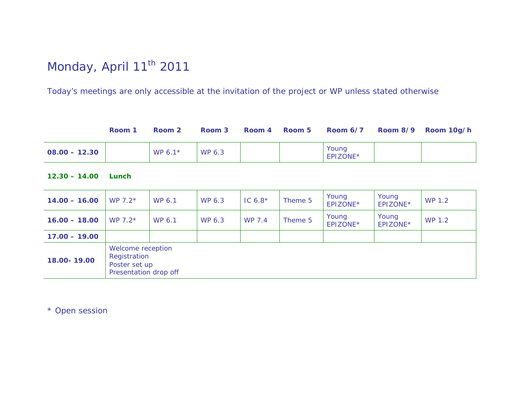# Monday, April 11<sup>th</sup> 2011

*Today's meetings are only accessible at the invitation of the project or WP unless stated otherwise*

|                 | Room 1 | Room 2              | Room 3 | Room 4 | Room 5 | Room 6/7          | Room 8/9 Room 10g/h |
|-----------------|--------|---------------------|--------|--------|--------|-------------------|---------------------|
| $08.00 - 12.30$ |        | WP 6.1 <sup>*</sup> | WP 6.3 |        |        | Young<br>EPIZONE* |                     |

**12.30 – 14.00 Lunch** 

| $14.00 - 16.00$ | WP $7.2*$                                                                   | WP 6.1 | WP 6.3 | IC $6.8*$ | Theme 5 | Young<br>EPIZONE* | Young<br>EPIZONE* | WP 1.2 |
|-----------------|-----------------------------------------------------------------------------|--------|--------|-----------|---------|-------------------|-------------------|--------|
| $16.00 - 18.00$ | WP $7.2*$                                                                   | WP 6.1 | WP 6.3 | WP 7.4    | Theme 5 | Young<br>EPIZONE* | Young<br>EPIZONE* | WP 1.2 |
| $17.00 - 19.00$ |                                                                             |        |        |           |         |                   |                   |        |
| 18.00-19.00     | Welcome reception<br>Registration<br>Poster set up<br>Presentation drop off |        |        |           |         |                   |                   |        |

*\* Open session*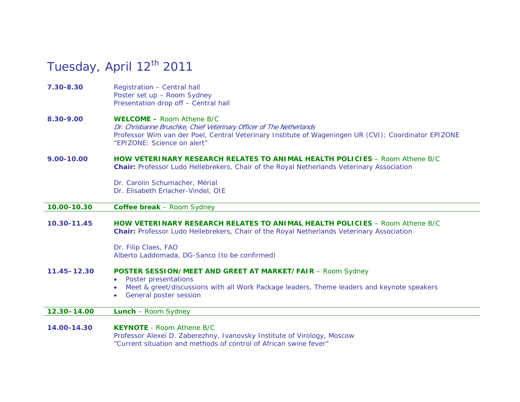## Tuesday, April 12<sup>th</sup> 2011

**7.30-8.30** Registration – *Central hall*  Poster set up – *Room Sydney* Presentation drop off – *Central hall* 

#### **8.30-9.00 WELCOME –** *Room Athene B/C*Dr. Christianne Bruschke, Chief Veterinary Officer of The Netherlands *Professor Wim van der Poel, Central Veterinary Institute of Wageningen UR (CVI); Coordinator EPIZONE*  "EPIZONE: Science on alert"

**9.00-10.00 HOW VETERINARY RESEARCH RELATES TO ANIMAL HEALTH POLICIES** *– Room Athene B/C*  **Chair:** *Professor Ludo Hellebrekers, Chair of the Royal Netherlands Veterinary Association* 

> *Dr. Carolin Schumacher, Mérial Dr. Elisabeth Erlacher-Vindel, OIE*

#### **10.00-10.30 Coffee break** *– Room Sydney*

**10.30-11.45 HOW VETERINARY RESEARCH RELATES TO ANIMAL HEALTH POLICIES** *– Room Athene B/C*  **Chair:** *Professor Ludo Hellebrekers, Chair of the Royal Netherlands Veterinary Association* 

> *Dr. Filip Claes, FAO Alberto Laddomada, DG-Sanco (to be confirmed)*

#### **11.45–12.30 POSTER SESSION/MEET AND GREET AT MARKET/FAIR** *– Room Sydney*

- 0 Poster presentations
- Meet & greet/discussions with all Work Package leaders, Theme leaders and keynote speakers
- $\bullet$ General poster session

**12.30–14.00 Lunch** *– Room Sydney*

**14.00-14.30 KEYNOTE** *- Room Athene B/C Professor Alexei D. Zaberezhny, Ivanovsky Institute of Virology, Moscow* "Current situation and methods of control of African swine fever"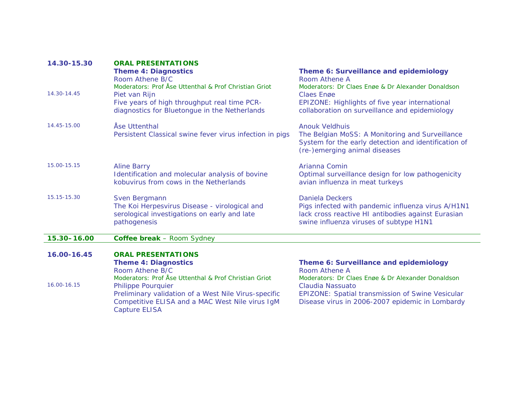| 14.30-15.30 | <b>ORAL PRESENTATIONS</b><br><b>Theme 4: Diagnostics</b><br>Room Athene B/C<br>Moderators: Prof Åse Uttenthal & Prof Christian Griot                                                                           | Theme 6: Surveillance and epidemiology<br>Room Athene A<br>Moderators: Dr Claes Enge & Dr Alexander Donaldson                                                                 |
|-------------|----------------------------------------------------------------------------------------------------------------------------------------------------------------------------------------------------------------|-------------------------------------------------------------------------------------------------------------------------------------------------------------------------------|
| 14.30-14.45 | Piet van Rijn<br>Five years of high throughput real time PCR-<br>diagnostics for Bluetongue in the Netherlands                                                                                                 | Claes Enge<br>EPIZONE: Highlights of five year international<br>collaboration on surveillance and epidemiology                                                                |
| 14.45-15.00 | Åse Uttenthal<br>Persistent Classical swine fever virus infection in pigs                                                                                                                                      | <b>Anouk Veldhuis</b><br>The Belgian MoSS: A Monitoring and Surveillance<br>System for the early detection and identification of<br>(re-)emerging animal diseases             |
| 15.00-15.15 | <b>Aline Barry</b><br>Identification and molecular analysis of bovine<br>kobuvirus from cows in the Netherlands                                                                                                | Arianna Comin<br>Optimal surveillance design for low pathogenicity<br>avian influenza in meat turkeys                                                                         |
| 15.15-15.30 | Sven Bergmann<br>The Koi Herpesvirus Disease - virological and<br>serological investigations on early and late<br>pathogenesis                                                                                 | <b>Daniela Deckers</b><br>Pigs infected with pandemic influenza virus A/H1N1<br>lack cross reactive HI antibodies against Eurasian<br>swine influenza viruses of subtype H1N1 |
| 15.30-16.00 | Coffee break - Room Sydney                                                                                                                                                                                     |                                                                                                                                                                               |
| 16.00-16.45 | <b>ORAL PRESENTATIONS</b><br><b>Theme 4: Diagnostics</b><br>Room Athene B/C                                                                                                                                    | Theme 6: Surveillance and epidemiology<br><b>Room Athene A</b>                                                                                                                |
| 16.00-16.15 | Moderators: Prof Åse Uttenthal & Prof Christian Griot<br>Philippe Pourquier<br>Preliminary validation of a West Nile Virus-specific<br>Competitive ELISA and a MAC West Nile virus IgM<br><b>Capture ELISA</b> | Moderators: Dr Claes Enge & Dr Alexander Donaldson<br>Claudia Nassuato<br>EPIZONE: Spatial transmission of Swine Vesicular<br>Disease virus in 2006-2007 epidemic in Lombardy |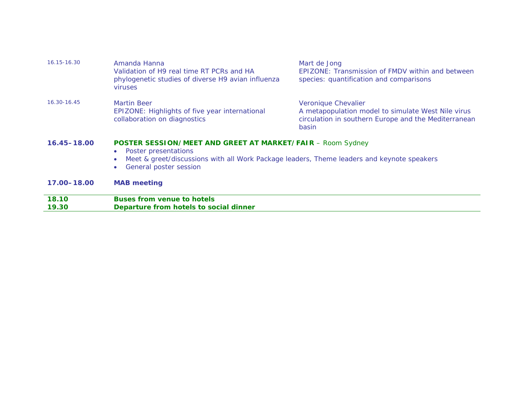| 19.30           | Departure from hotels to social dinner                                                                                                                                                                                                                   |                                                                                                             |  |  |  |
|-----------------|----------------------------------------------------------------------------------------------------------------------------------------------------------------------------------------------------------------------------------------------------------|-------------------------------------------------------------------------------------------------------------|--|--|--|
| 18.10           | <b>Buses from venue to hotels</b>                                                                                                                                                                                                                        |                                                                                                             |  |  |  |
| 17.00-18.00     | <b>MAB</b> meeting                                                                                                                                                                                                                                       |                                                                                                             |  |  |  |
| $16.45 - 18.00$ | <b>POSTER SESSION/MEET AND GREET AT MARKET/FAIR - Room Sydney</b><br>Poster presentations<br>$\bullet$<br>Meet & greet/discussions with all Work Package leaders, Theme leaders and keynote speakers<br>$\bullet$<br>General poster session<br>$\bullet$ |                                                                                                             |  |  |  |
| 16.30-16.45     | <b>Martin Beer</b><br>Veronique Chevalier<br>A metapopulation model to simulate West Nile virus<br>EPIZONE: Highlights of five year international<br>collaboration on diagnostics<br>circulation in southern Europe and the Mediterranean<br>basin       |                                                                                                             |  |  |  |
| 16.15-16.30     | Amanda Hanna<br>Validation of H9 real time RT PCRs and HA<br>phylogenetic studies of diverse H9 avian influenza<br><b>viruses</b>                                                                                                                        | Mart de Jong<br>EPIZONE: Transmission of FMDV within and between<br>species: quantification and comparisons |  |  |  |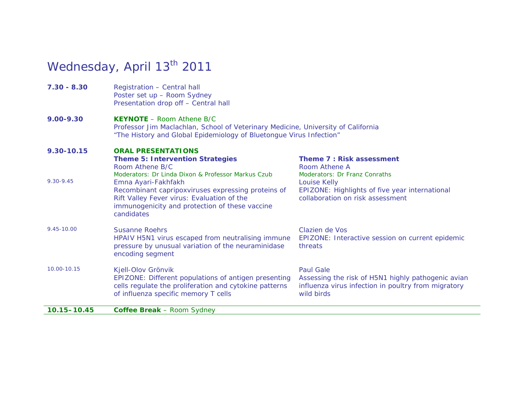## Wednesday, April 13<sup>th</sup> 2011

**7.30 - 8.30** Registration – *Central hall*  Poster set up – *Room Sydney* Presentation drop off – *Central hall* 

#### **9.00-9.30 KEYNOTE** *– Room Athene B/C*

*Professor Jim Maclachlan, School of Veterinary Medicine, University of California*  "The History and Global Epidemiology of Bluetongue Virus Infection"

### **9.30-10.15 ORAL PRESENTATIONS**

| $10.15 - 10.45$ | <b>Coffee Break</b> - Room Sydney                                                                                                                                                                                                                                                                           |                                                                                                                                                                                                |
|-----------------|-------------------------------------------------------------------------------------------------------------------------------------------------------------------------------------------------------------------------------------------------------------------------------------------------------------|------------------------------------------------------------------------------------------------------------------------------------------------------------------------------------------------|
| 10.00-10.15     | Kjell-Olov Grönvik<br>EPIZONE: Different populations of antigen presenting<br>cells regulate the proliferation and cytokine patterns<br>of influenza specific memory T cells                                                                                                                                | <b>Paul Gale</b><br>Assessing the risk of H5N1 highly pathogenic avian<br>influenza virus infection in poultry from migratory<br>wild birds                                                    |
| 9.45-10.00      | <b>Susanne Roehrs</b><br>HPAIV H5N1 virus escaped from neutralising immune<br>pressure by unusual variation of the neuraminidase<br>encoding segment                                                                                                                                                        | Clazien de Vos<br>EPIZONE: Interactive session on current epidemic<br>threats                                                                                                                  |
| 9.30-9.45       | <b>Theme 5: Intervention Strategies</b><br>Room Athene B/C<br>Moderators: Dr Linda Dixon & Professor Markus Czub<br>Emna Ayari-Fakhfakh<br>Recombinant capripoxviruses expressing proteins of<br>Rift Valley Fever virus: Evaluation of the<br>immunogenicity and protection of these vaccine<br>candidates | <b>Theme 7: Risk assessment</b><br>Room Athene A<br><b>Moderators: Dr Franz Conraths</b><br>Louise Kelly<br>EPIZONE: Highlights of five year international<br>collaboration on risk assessment |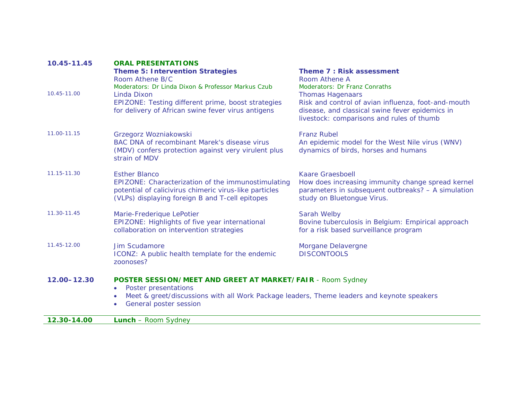| 10.45-11.45 | <b>ORAL PRESENTATIONS</b>                                                                                                                                                                                                      |                                                                                                                                                                                |
|-------------|--------------------------------------------------------------------------------------------------------------------------------------------------------------------------------------------------------------------------------|--------------------------------------------------------------------------------------------------------------------------------------------------------------------------------|
|             | <b>Theme 5: Intervention Strategies</b><br>Room Athene B/C<br>Moderators: Dr Linda Dixon & Professor Markus Czub                                                                                                               | <b>Theme 7: Risk assessment</b><br>Room Athene A<br><b>Moderators: Dr Franz Conraths</b>                                                                                       |
| 10.45-11.00 | Linda Dixon<br>EPIZONE: Testing different prime, boost strategies<br>for delivery of African swine fever virus antigens                                                                                                        | <b>Thomas Hagenaars</b><br>Risk and control of avian influenza, foot-and-mouth<br>disease, and classical swine fever epidemics in<br>livestock: comparisons and rules of thumb |
| 11.00-11.15 | Grzegorz Wozniakowski<br>BAC DNA of recombinant Marek's disease virus<br>(MDV) confers protection against very virulent plus<br>strain of MDV                                                                                  | <b>Franz Rubel</b><br>An epidemic model for the West Nile virus (WNV)<br>dynamics of birds, horses and humans                                                                  |
| 11.15-11.30 | <b>Esther Blanco</b><br>EPIZONE: Characterization of the immunostimulating<br>potential of calicivirus chimeric virus-like particles<br>(VLPs) displaying foreign B and T-cell epitopes                                        | <b>Kaare Graesboell</b><br>How does increasing immunity change spread kernel<br>parameters in subsequent outbreaks? - A simulation<br>study on Bluetongue Virus.               |
| 11.30-11.45 | Marie-Frederique LePotier<br>EPIZONE: Highlights of five year international<br>collaboration on intervention strategies                                                                                                        | Sarah Welby<br>Bovine tuberculosis in Belgium: Empirical approach<br>for a risk based surveillance program                                                                     |
| 11.45-12.00 | Jim Scudamore<br>ICONZ: A public health template for the endemic<br>zoonoses?                                                                                                                                                  | Morgane Delavergne<br><b>DISCONTOOLS</b>                                                                                                                                       |
| 12.00-12.30 | <b>POSTER SESSION/MEET AND GREET AT MARKET/FAIR</b> - Room Sydney<br>Poster presentations<br>$\bullet$<br>Meet & greet/discussions with all Work Package leaders, Theme leaders and keynote speakers<br>General poster session |                                                                                                                                                                                |
| 12.30-14.00 | <b>Lunch</b> - Room Sydney                                                                                                                                                                                                     |                                                                                                                                                                                |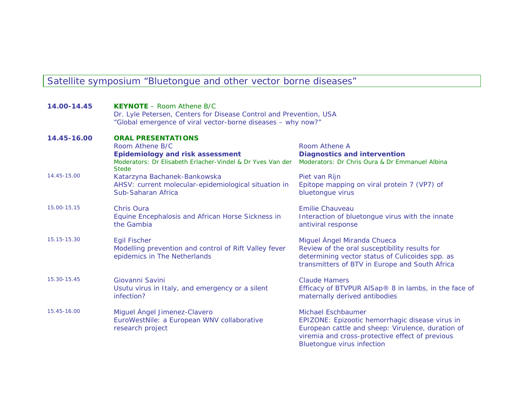### Satellite symposium "Bluetongue and other vector borne diseases"

| 14.00-14.45 | <b>KEYNOTE</b> – Room Athene $B/C$<br>Dr. Lyle Petersen, Centers for Disease Control and Prevention, USA<br>"Global emergence of viral vector-borne diseases - why now?" |                                                                                                                                                                                                                    |
|-------------|--------------------------------------------------------------------------------------------------------------------------------------------------------------------------|--------------------------------------------------------------------------------------------------------------------------------------------------------------------------------------------------------------------|
| 14.45-16.00 | <b>ORAL PRESENTATIONS</b><br>Room Athene B/C<br><b>Epidemiology and risk assessment</b><br>Moderators: Dr Elisabeth Erlacher-Vindel & Dr Yves Van der<br><b>Stede</b>    | Room Athene A<br><b>Diagnostics and intervention</b><br>Moderators: Dr Chris Oura & Dr Emmanuel Albina                                                                                                             |
| 14.45-15.00 | Katarzyna Bachanek-Bankowska<br>AHSV: current molecular-epidemiological situation in<br>Sub-Saharan Africa                                                               | Piet van Rijn<br>Epitope mapping on viral protein 7 (VP7) of<br>bluetongue virus                                                                                                                                   |
| 15.00-15.15 | Chris Oura<br>Equine Encephalosis and African Horse Sickness in<br>the Gambia                                                                                            | <b>Emilie Chauveau</b><br>Interaction of bluetongue virus with the innate<br>antiviral response                                                                                                                    |
| 15.15-15.30 | <b>Egil Fischer</b><br>Modelling prevention and control of Rift Valley fever<br>epidemics in The Netherlands                                                             | Miguel Ángel Miranda Chueca<br>Review of the oral susceptibility results for<br>determining vector status of Culicoides spp. as<br>transmitters of BTV in Europe and South Africa                                  |
| 15.30-15.45 | Giovanni Savini<br>Usutu virus in Italy, and emergency or a silent<br>infection?                                                                                         | Claude Hamers<br>Efficacy of BTVPUR AlSap <sup>®</sup> 8 in lambs, in the face of<br>maternally derived antibodies                                                                                                 |
| 15.45-16.00 | Miguel Ángel Jimenez-Clavero<br>EuroWestNile: a European WNV collaborative<br>research project                                                                           | Michael Eschbaumer<br>EPIZONE: Epizootic hemorrhagic disease virus in<br>European cattle and sheep: Virulence, duration of<br>viremia and cross-protective effect of previous<br><b>Bluetongue virus infection</b> |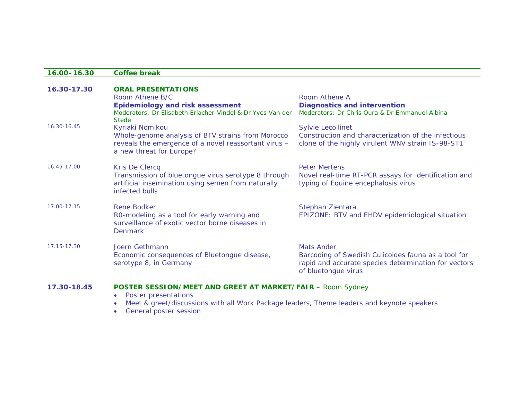#### **16.00–16.30 Coffee break**

| 16.30-17.30 | <b>ORAL PRESENTATIONS</b>                                                                                                              |                                                                                                                                                         |
|-------------|----------------------------------------------------------------------------------------------------------------------------------------|---------------------------------------------------------------------------------------------------------------------------------------------------------|
|             | Room Athene B/C                                                                                                                        | Room Athene A                                                                                                                                           |
|             | <b>Epidemiology and risk assessment</b>                                                                                                | <b>Diagnostics and intervention</b>                                                                                                                     |
|             | Moderators: Dr Elisabeth Erlacher-Vindel & Dr Yves Van der<br><b>Stede</b>                                                             | Moderators: Dr Chris Oura & Dr Emmanuel Albina                                                                                                          |
| 16.30-16.45 | Kyriaki Nomikou                                                                                                                        | <b>Sylvie Lecollinet</b>                                                                                                                                |
|             | Whole-genome analysis of BTV strains from Morocco<br>reveals the emergence of a novel reassortant virus -<br>a new threat for Europe?  | Construction and characterization of the infectious<br>clone of the highly virulent WNV strain IS-98-ST1                                                |
| 16.45-17.00 | Kris De Clercq                                                                                                                         | <b>Peter Mertens</b>                                                                                                                                    |
|             | Transmission of bluetongue virus serotype 8 through<br>artificial insemination using semen from naturally<br>infected bulls            | Novel real-time RT-PCR assays for identification and<br>typing of Equine encephalosis virus                                                             |
| 17.00-17.15 | <b>Rene Bodker</b><br>RO-modeling as a tool for early warning and<br>surveillance of exotic vector borne diseases in<br><b>Denmark</b> | Stephan Zientara<br>EPIZONE: BTV and EHDV epidemiological situation                                                                                     |
| 17.15-17.30 | Joern Gethmann<br>Economic consequences of Bluetongue disease,<br>serotype 8, in Germany                                               | <b>Mats Ander</b><br>Barcoding of Swedish Culicoides fauna as a tool for<br>rapid and accurate species determination for vectors<br>of bluetongue virus |

### **17.30-18.45 POSTER SESSION/MEET AND GREET AT MARKET/FAIR** *– Room Sydney*

- $\bullet$  Poster presentations
	- Meet & greet/discussions with all Work Package leaders, Theme leaders and keynote speakers
- **•** General poster session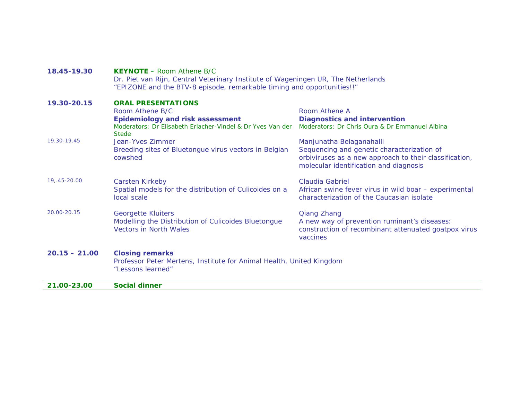| 18.45-19.30     | <b>KEYNOTE</b> – Room Athene $B/C$<br>Dr. Piet van Rijn, Central Veterinary Institute of Wageningen UR, The Netherlands<br>"EPIZONE and the BTV-8 episode, remarkable timing and opportunities!!" |                                                                                                                                                |
|-----------------|---------------------------------------------------------------------------------------------------------------------------------------------------------------------------------------------------|------------------------------------------------------------------------------------------------------------------------------------------------|
| 19.30-20.15     | <b>ORAL PRESENTATIONS</b>                                                                                                                                                                         |                                                                                                                                                |
|                 | Room Athene B/C                                                                                                                                                                                   | Room Athene A                                                                                                                                  |
|                 | <b>Epidemiology and risk assessment</b>                                                                                                                                                           | <b>Diagnostics and intervention</b>                                                                                                            |
|                 | Moderators: Dr Elisabeth Erlacher-Vindel & Dr Yves Van der<br><b>Stede</b>                                                                                                                        | Moderators: Dr Chris Oura & Dr Emmanuel Albina                                                                                                 |
| 19.30-19.45     | Jean-Yves Zimmer                                                                                                                                                                                  | Manjunatha Belaganahalli                                                                                                                       |
|                 | Breeding sites of Bluetongue virus vectors in Belgian<br>cowshed                                                                                                                                  | Sequencing and genetic characterization of<br>orbiviruses as a new approach to their classification,<br>molecular identification and diagnosis |
| 19, 45-20.00    | Carsten Kirkeby                                                                                                                                                                                   | Claudia Gabriel                                                                                                                                |
|                 | Spatial models for the distribution of Culicoides on a<br>local scale                                                                                                                             | African swine fever virus in wild boar - experimental<br>characterization of the Caucasian isolate                                             |
| 20.00-20.15     | <b>Georgette Kluiters</b>                                                                                                                                                                         | <b>Qiang Zhang</b>                                                                                                                             |
|                 | Modelling the Distribution of Culicoides Bluetongue                                                                                                                                               | A new way of prevention ruminant's diseases:                                                                                                   |
|                 | <b>Vectors in North Wales</b>                                                                                                                                                                     | construction of recombinant attenuated goatpox virus<br>vaccines                                                                               |
| $20.15 - 21.00$ | <b>Closing remarks</b>                                                                                                                                                                            |                                                                                                                                                |
|                 | Professor Peter Mertens, Institute for Animal Health, United Kingdom<br>"Lessons learned"                                                                                                         |                                                                                                                                                |
| 21.00-23.00     | <b>Social dinner</b>                                                                                                                                                                              |                                                                                                                                                |